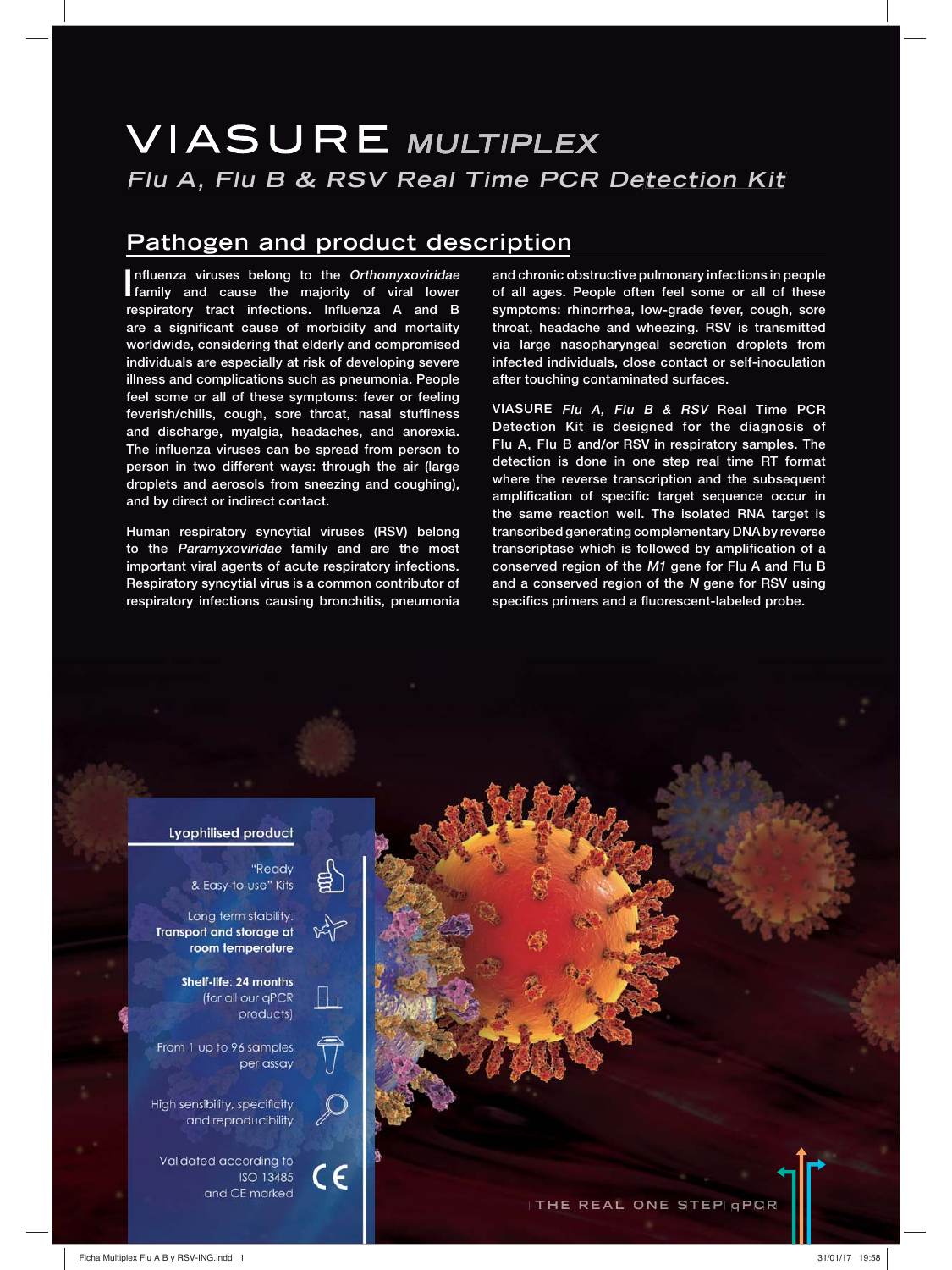# **VIASURE MULTIPLEX Flu A, Flu B & RSV Real Time PCR Detection Kit**

## **Pathogen and product description**

Influenza viruses belong to the Orthomyxoviridae<br>
family and cause the majority of viral lower **nfluenza viruses belong to the Orthomyxoviridae respiratory tract infections. Influenza A and B are a significant cause of morbidity and mortality worldwide, considering that elderly and compromised individuals are especially at risk of developing severe illness and complications such as pneumonia. People feel some or all of these symptoms: fever or feeling feverish/chills, cough, sore throat, nasal stuffiness and discharge, myalgia, headaches, and anorexia. The influenza viruses can be spread from person to person in two different ways: through the air (large droplets and aerosols from sneezing and coughing), and by direct or indirect contact.**

**Human respiratory syncytial viruses (RSV) belong to the Paramyxoviridae family and are the most important viral agents of acute respiratory infections. Respiratory syncytial virus is a common contributor of respiratory infections causing bronchitis, pneumonia** 

**and chronic obstructive pulmonary infections in people of all ages. People often feel some or all of these symptoms: rhinorrhea, low-grade fever, cough, sore throat, headache and wheezing. RSV is transmitted via large nasopharyngeal secretion droplets from infected individuals, close contact or self-inoculation after touching contaminated surfaces.**

**VIASURE Flu A, Flu B & RSV Real Time PCR Detection Kit is designed for the diagnosis of Flu A, Flu B and/or RSV in respiratory samples. The detection is done in one step real time RT format where the reverse transcription and the subsequent amplification of specific target sequence occur in the same reaction well. The isolated RNA target is transcribed generating complementary DNA by reverse transcriptase which is followed by amplification of a conserved region of the M1 gene for Flu A and Flu B and a conserved region of the N gene for RSV using specifics primers and a fluorescent-labeled probe.**